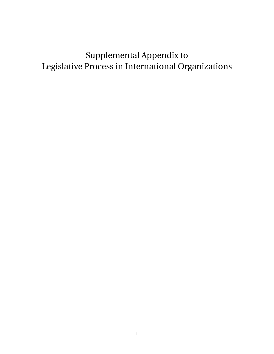# Supplemental Appendix to Legislative Process in International Organizations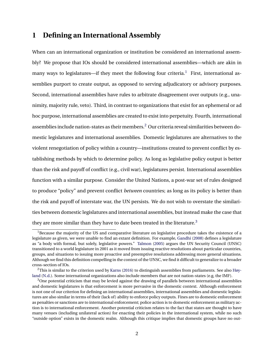## **1 Defining an International Assembly**

When can an international organization or institution be considered an international assembly? We propose that IOs should be considered international assemblies—which are akin in many ways to legislatures—if they meet the following four criteria.<sup>[1](#page-1-0)</sup> First, international assemblies purport to create output, as opposed to serving adjudicatory or advisory purposes. Second, international assemblies have rules to arbitrate disagreement over outputs (e.g., unanimity, majority rule, veto). Third, in contrast to organizations that exist for an ephemeral or ad hoc purpose, international assemblies are created to exist into perpetuity. Fourth, international assemblies include nation-states as their members.[2](#page-1-1) Our criteria reveal similarities between domestic legislatures and international assemblies. Domestic legislatures are alternatives to the violent renegotiation of policy within a country—institutions created to prevent conflict by establishing methods by which to determine policy. As long as legislative policy output is better than the risk and payoff of conflict (e.g., civil war), legislatures persist. International assemblies function with a similar purpose. Consider the United Nations, a post-war set of rules designed to produce "policy" and prevent conflict *between* countries; as long as its policy is better than the risk and payoff of interstate war, the UN persists. We do not wish to overstate the similarities between domestic legislatures and international assemblies, but instead make the case that they are more similar than they have to date been treated in the literature.<sup>[3](#page-1-2)</sup>

<span id="page-1-0"></span> $1B$  Because the majority of the US and comparative literature on legislative procedure takes the existence of a legislature as given, we were unable to find an extant definition. For example, [Gandhi](#page-9-0) [\(2008\)](#page-9-0) defines a legislature as "a body with formal, but solely, legislative powers." [Talmon](#page-13-0) [\(2005\)](#page-13-0) argues the UN Security Council (UNSC) transitioned to a world legislature in 2001 as it moved from issuing reactive resolutions about particular countries, groups, and situations to issuing more proactive and preemptive resolutions addressing more general situations. Although we find this definition compelling in the context of the UNSC, we find it difficult to generalize to a broader cross-section of IOs.

<span id="page-1-1"></span> $2$ This is similar to the criterion used by [Karns](#page-10-0) [\(2016\)](#page-10-0) to distinguish assemblies from parliaments. See also [Høy](#page-10-1)[land](#page-10-1) [\(N.d.\)](#page-10-1). Some international organizations also include members that are not nation-states (e.g, the IMF).

<span id="page-1-2"></span> $3$ One potential criticism that may be levied against the drawing of parallels between international assemblies and domestic legislatures is that enforcement is more pervasive in the domestic context. Although enforcement is not one of our criterion for defining an international assemblies, international assemblies and domestic legislatures are also similar in terms of their (lack of) ability to enforce policy outputs. Fines are to domestic enforcement as penalties or sanctions are to international enforcement; police action is to domestic enforcement as military action is to international enforcement. Another potential criticism relates to the fact that states are thought to have many venues (including unilateral action) for enacting their policies in the international system, while no such "outside option" exists in the domestic realm. Although this critique implies that domestic groups have no out-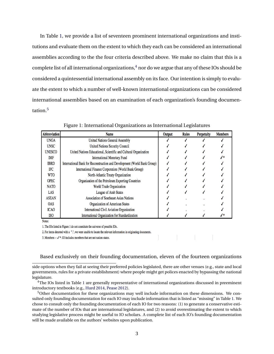In Table [1,](#page-2-0) we provide a list of seventeen prominent international organizations and institutions and evaluate them on the extent to which they each can be considered an international assemblies according to the the four criteria described above. We make no claim that this is a complete list of all international organizations,  $4$  nor do we argue that any of these IOs should be considered a quintessential international assembly on its face. Our intention is simply to evaluate the extent to which a number of well-known international organizations can be considered international assemblies based on an examination of each organization's founding documentation.[5](#page-2-2)

| <b>Abbreviation</b> | <b>Name</b>                                                              | Output | <b>Rules</b> | <b>Perpetuity</b> | <b>Members</b> |
|---------------------|--------------------------------------------------------------------------|--------|--------------|-------------------|----------------|
| <b>UNGA</b>         | <b>United Nations General Assembly</b>                                   |        |              |                   |                |
| <b>UNSC</b>         | <b>United Nations Security Council</b>                                   |        |              |                   |                |
| <b>UNESCO</b>       | United Nations Educational, Scientific and Cultural Organization         |        |              |                   |                |
| <b>IMF</b>          | <b>International Monetary Fund</b>                                       |        |              |                   | .∕*            |
| <b>IBRD</b>         | International Bank for Reconstruction and Development (World Bank Group) |        |              |                   |                |
| <b>IFC</b>          | International Finance Corporation (World Bank Group)                     |        |              |                   |                |
| <b>WTO</b>          | North-Atlantic Treaty Organization                                       |        |              |                   |                |
| <b>OPEC</b>         | Organization of the Petroleum Exporting Countries                        |        |              |                   |                |
| <b>NATO</b>         | World Trade Organization                                                 |        |              |                   |                |
| LAS                 | League of Arab States                                                    |        |              |                   |                |
| <b>ASEAN</b>        | <b>Association of Southeast Asian Nations</b>                            |        |              |                   |                |
| <b>OAS</b>          | <b>Organization of American States</b>                                   |        |              |                   |                |
| <b>ICAO</b>         | International Civil Aviation Organization                                |        |              |                   |                |
| <b>ISO</b>          | International Organization for Standardization                           |        |              |                   |                |

<span id="page-2-0"></span>Figure 1: International Organizations as International Legislatures

Notes:

1. The IOs listed in Figure 1 do not constitute the universe of possible IOs.

2. For items denoted with a ".", we were unable to locate the relevant information in originating documents.

3. Members  $-\checkmark$  \*: IO includes members that are not nation-states.

#### Based exclusively on their founding documentation, eleven of the fourteen organizations

side options when they fail at seeing their preferred policies legislated, there are other venues (e.g., state and local governments, rules for a private establishment) where people might get polices enacted by bypassing the national legislature.

<span id="page-2-1"></span><sup>4</sup>The IOs listed in Table [1](#page-2-0) are generally representative of international organizations discussed in preeminent introductory textbooks (e.g., [Hurd](#page-10-2) [2014,](#page-10-2) [Pease](#page-12-0) [2012\)](#page-12-0).

<span id="page-2-2"></span><sup>5</sup>Other documentation for these organizations may well include information on these dimensions. We consulted only founding documentation for each IO may include information that is listed as "missing" in Table [1.](#page-2-0) We chose to consult only the founding documentation of each IO for two reasons: (1) to generate a conservative estimate of the number of IOs that are international legislatures, and (2) to avoid overestimating the extent to which studying legislative process might be useful to IO scholars. A complete list of each IO's founding documentation will be made available on the authors' websites upon publication.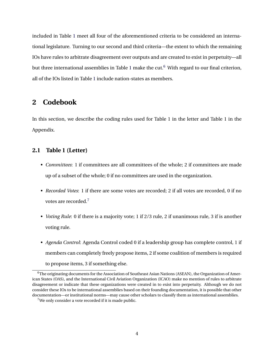included in Table [1](#page-2-0) meet all four of the aforementioned criteria to be considered an international legislature. Turning to our second and third criteria—the extent to which the remaining IOs have rules to arbitrate disagreement over outputs and are created to exist in perpetuity—all but three international assemblies in Table [1](#page-2-0) make the cut. $6$  With regard to our final criterion, all of the IOs listed in Table [1](#page-2-0) include nation-states as members.

## **2 Codebook**

In this section, we describe the coding rules used for Table 1 in the letter and Table 1 in the Appendix.

#### **2.1 Table 1 (Letter)**

- *Committees*: 1 if committees are all committees of the whole; 2 if committees are made up of a subset of the whole; 0 if no committees are used in the organization.
- *Recorded Votes*: 1 if there are some votes are recorded; 2 if all votes are recorded, 0 if no votes are recorded.[7](#page-3-1)
- *Voting Rule*: 0 if there is a majority vote; 1 if 2/3 rule, 2 if unanimous rule, 3 if is another voting rule.
- *Agenda Control*: Agenda Control coded 0 if a leadership group has complete control, 1 if members can completely freely propose items, 2 if some coalition of members is required to propose items, 3 if something else.

<span id="page-3-0"></span> $6$ The originating documents for the Association of Southeast Asian Nations (ASEAN), the Organization of American States (OAS), and the International Civil Aviation Organization (ICAO) make no mention of rules to arbitrate disagreement or indicate that these organizations were created in to exist into perpetuity. Although we do not consider these IOs to be international assemblies based on their founding documentation, it is possible that other documentation—or institutional norms—may cause other scholars to classify them as international assemblies.

<span id="page-3-1"></span><sup>&</sup>lt;sup>7</sup>We only consider a vote recorded if it is made public.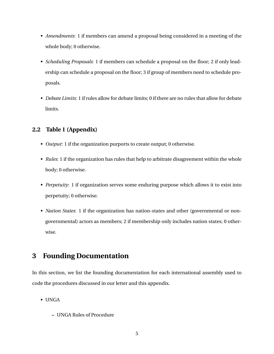- *Amendments*: 1 if members can amend a proposal being considered in a meeting of the whole body; 0 otherwise.
- *Scheduling Proposals*: 1 if members can schedule a proposal on the floor; 2 if only leadership can schedule a proposal on the floor; 3 if group of members need to schedule proposals.
- *Debate Limits*: 1 if rules allow for debate limits; 0 if there are no rules that allow for debate limits.

### **2.2 Table 1 (Appendix)**

- *Output*: 1 if the organization purports to create output; 0 otherwise.
- *Rules*: 1 if the organization has rules that help to arbitrate disagreement within the whole body; 0 otherwise.
- *Perpetuity*: 1 if organization serves some enduring purpose which allows it to exist into perpetuity; 0 otherwise.
- *Nation States*: 1 if the organization has nation-states and other (governmental or nongovernmental) actors as members; 2 if membership only includes nation states; 0 otherwise.

## **3 Founding Documentation**

In this section, we list the founding documentation for each international assembly used to code the procedures discussed in our letter and this appendix.

- UNGA
	- **–** UNGA Rules of Procedure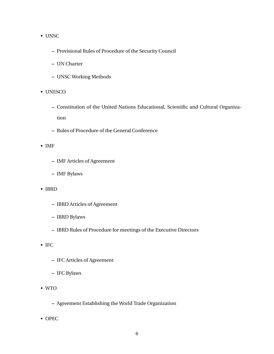#### • UNSC

- **–** Provisional Rules of Procedure of the Security Council
- **–** UN Charter
- **–** UNSC Working Methods
- UNESCO
	- **–** Constitution of the United Nations Educational, Scientific and Cultural Organization
	- **–** Rules of Procedure of the General Conference
- IMF
	- **–** IMF Articles of Agreement
	- **–** IMF Bylaws
- IBRD
	- **–** IBRD Articles of Agreement
	- **–** IBRD Bylaws
	- **–** IBRD Rules of Procedure for meetings of the Executive Directors
- IFC
	- **–** IFC Articles of Agreement
	- **–** IFC Bylaws
- WTO
	- **–** Agreement Establishing the World Trade Organization
- OPEC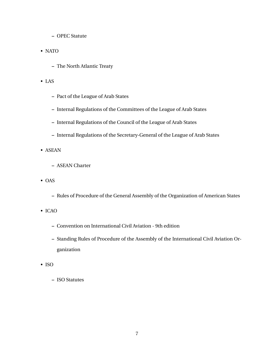- **–** OPEC Statute
- NATO
	- **–** The North Atlantic Treaty
- LAS
	- **–** Pact of the League of Arab States
	- **–** Internal Regulations of the Committees of the League of Arab States
	- **–** Internal Regulations of the Council of the League of Arab States
	- **–** Internal Regulations of the Secretary-General of the League of Arab States
- ASEAN
	- **–** ASEAN Charter
- OAS
	- **–** Rules of Procedure of the General Assembly of the Organization of American States
- ICAO
	- **–** Convention on International Civil Aviation 9th edition
	- **–** Standing Rules of Procedure of the Assembly of the International Civil Aviation Organization
- ISO
	- **–** ISO Statutes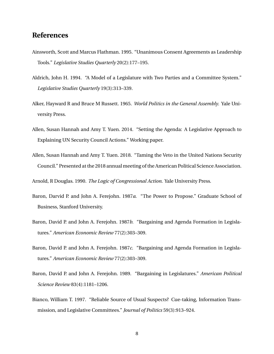## **References**

- Ainsworth, Scott and Marcus Flathman. 1995. "Unanimous Consent Agreements as Leadership Tools." *Legislative Studies Quarterly* 20(2):177–195.
- Aldrich, John H. 1994. "A Model of a Legislature with Two Parties and a Committee System." *Legislative Studies Quarterly* 19(3):313–339.
- Alker, Hayward R and Bruce M Russett. 1965. *World Politics in the General Assembly*. Yale University Press.
- Allen, Susan Hannah and Amy T. Yuen. 2014. "Setting the Agenda: A Legislative Approach to Explaining UN Security Council Actions." Working paper.
- Allen, Susan Hannah and Amy T. Yuen. 2018. "Taming the Veto in the United Nations Security Council." Presented at the 2018 annual meeting of the American Political Science Association.

Arnold, R Douglas. 1990. *The Logic of Congressional Action*. Yale University Press.

- Baron, Darvid P. and John A. Ferejohn. 1987*a*. "The Power to Propose." Graduate School of Business, Stanford University.
- Baron, David P. and John A. Ferejohn. 1987*b*. "Bargaining and Agenda Formation in Legislatures." *American Economic Review* 77(2):303–309.
- Baron, David P. and John A. Ferejohn. 1987*c*. "Bargaining and Agenda Formation in Legislatures." *American Economic Review* 77(2):303–309.
- Baron, David P. and John A. Ferejohn. 1989. "Bargaining in Legislatures." *American Political Science Review* 83(4):1181–1206.
- Bianco, William T. 1997. "Reliable Source of Usual Suspects? Cue-taking, Information Transmission, and Legislative Committees." *Journal of Politics* 59(3):913–924.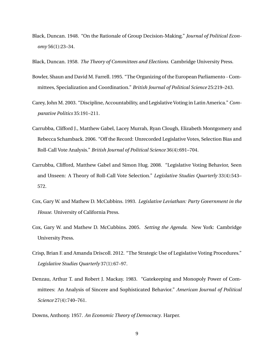- Black, Duncan. 1948. "On the Rationale of Group Decision-Making." *Journal of Political Economy* 56(1):23–34.
- Black, Duncan. 1958. *The Theory of Committees and Elections*. Cambridge University Press.
- Bowler, Shaun and David M. Farrell. 1995. "The Organizing of the European Parliamento Committees, Specialization and Coordination." *British Journal of Political Science* 25:219–243.
- Carey, John M. 2003. "Discipline, Accountability, and Legislative Voting in Latin America." *Comparative Politics* 35:191–211.
- Carrubba, Clifford J., Matthew Gabel, Lacey Murrah, Ryan Clough, Elizabeth Montgomery and Rebecca Schamback. 2006. "Off the Record: Unrecorded Legislative Votes, Selection Bias and Roll-Call Vote Analysis." *British Journal of Political Science* 36(4):691–704.
- Carrubba, Clifford, Matthew Gabel and Simon Hug. 2008. "Legislative Voting Behavior, Seen and Unseen: A Theory of Roll-Call Vote Selection." *Legislative Studies Quarterly* 33(4):543– 572.
- Cox, Gary W. and Mathew D. McCubbins. 1993. *Legislative Leviathan: Party Government in the House*. University of California Press.
- Cox, Gary W. and Mathew D. McCubbins. 2005. *Setting the Agenda*. New York: Cambridge University Press.
- Crisp, Brian F. and Amanda Driscoll. 2012. "The Strategic Use of Legislative Voting Procedures." *Legislative Studies Quarterly* 37(1):67–97.
- Denzau, Arthur T. and Robert J. Mackay. 1983. "Gatekeeping and Monopoly Power of Committees: An Analysis of Sincere and Sophisticated Behavior." *American Journal of Political Science* 27(4):740–761.

Downs, Anthony. 1957. *An Economic Theory of Democracy*. Harper.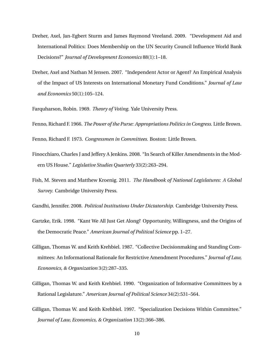- Dreher, Axel, Jan-Egbert Sturm and James Raymond Vreeland. 2009. "Development Aid and International Politics: Does Membership on the UN Security Council Influence World Bank Decisions?" *Journal of Development Economics* 88(1):1–18.
- Dreher, Axel and Nathan M Jensen. 2007. "Independent Actor or Agent? An Empirical Analysis of the Impact of US Interests on International Monetary Fund Conditions." *Journal of Law and Economics* 50(1):105–124.

Farquharson, Robin. 1969. *Theory of Voting*. Yale University Press.

Fenno, Richard F. 1966. *The Power of the Purse: Appropriations Politics in Congress*. Little Brown.

Fenno, Richard F. 1973. *Congressmen in Committees*. Boston: Little Brown.

- Finocchiaro, Charles J and Jeffery A Jenkins. 2008. "In Search of Killer Amendments in the Modern US House." *Legislative Studies Quarterly* 33(2):263–294.
- Fish, M. Steven and Matthew Kroenig. 2011. *The Handbook of National Legislatures: A Global Survey*. Cambridge University Press.

<span id="page-9-0"></span>Gandhi, Jennifer. 2008. *Political Institutions Under Dictatorship*. Cambridge University Press.

- Gartzke, Erik. 1998. "Kant We All Just Get Along? Opportunity, Willingness, and the Origins of the Democratic Peace." *American Journal of Political Science* pp. 1–27.
- Gilligan, Thomas W. and Keith Krehbiel. 1987. "Collective Decisionmaking and Standing Committees: An Informational Rationale for Restrictive Amendment Procedures." *Journal of Law, Economics, & Organization* 3(2):287–335.
- Gilligan, Thomas W. and Keith Krehbiel. 1990. "Organization of Informative Committees by a Rational Legislature." *American Journal of Political Science* 34(2):531–564.
- Gilligan, Thomas W. and Keith Krehbiel. 1997. "Specialization Decisions Within Committee." *Journal of Law, Economics, & Organization* 13(2):366–386.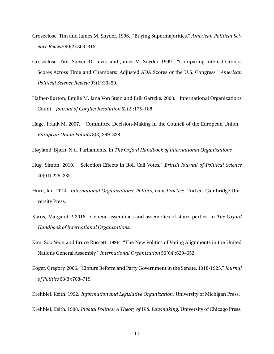- Groseclose, Tim and James M. Snyder. 1996. "Buying Supermajorities." *American Political Science Review* 90(2):303–315.
- Groseclose, Tim, Steven D. Levitt and James M. Snyder. 1999. "Comparing Interest Groups Scores Across Time and Chambers: Adjusted ADA Scores or the U.S. Congress." *American Political Science Review* 93(1):33–50.
- Hafner-Burton, Emilie M, Jana Von Stein and Erik Gartzke. 2008. "International Organizations Count." *Journal of Conflict Resolution* 52(2):175–188.
- Hage, Frank M. 2007. "Committee Decision-Making in the Council of the European Union." *European Union Politics* 8(3):299–328.
- <span id="page-10-1"></span>Høyland, Bjørn. N.d. Parliaments. In *The Oxford Handbook of International Organizations*.
- Hug, Simon. 2010. "Selection Effects in Roll Call Votes." *British Journal of Political Science* 40(01):225–235.
- <span id="page-10-2"></span>Hurd, Ian. 2014. *International Organizations: Politics, Law, Practice*. 2nd ed. Cambridge University Press.
- <span id="page-10-0"></span>Karns, Margaret P. 2016. General assemblies and assemblies of states parties. In *The Oxford Handbook of International Organizations*.
- Kim, Soo Yeon and Bruce Russett. 1996. "The New Politics of Voting Alignments in the United Nations General Assembly." *International Organization* 50(04):629–652.
- Koger, Gregory. 2006. "Cloture Reform and Party Government in the Senate, 1918-1925." *Journal of Politics* 68(3):708–719.

Krehbiel, Keith. 1992. *Information and Legislative Organization*. University of Michigan Press. Krehbiel, Keith. 1998. *Pivotal Politics: A Theory of U.S. Lawmaking*. University of Chicago Press.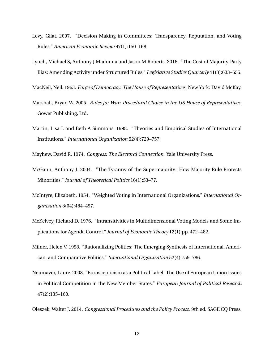- Levy, Gilat. 2007. "Decision Making in Committees: Transparency, Reputation, and Voting Rules." *American Economic Review* 97(1):150–168.
- Lynch, Michael S, Anthony J Madonna and Jason M Roberts. 2016. "The Cost of Majority-Party Bias: Amending Activity under Structured Rules." *Legislative Studies Quarterly* 41(3):633–655.

MacNeil, Neil. 1963. *Forge of Democracy: The House of Representatives*. New York: David McKay.

- Marshall, Bryan W. 2005. *Rules for War: Procedural Choice in the US House of Representatives*. Gower Publishing, Ltd.
- Martin, Lisa L and Beth A Simmons. 1998. "Theories and Empirical Studies of International Institutions." *International Organization* 52(4):729–757.
- Mayhew, David R. 1974. *Congress: The Electoral Connection*. Yale University Press.
- McGann, Anthony J. 2004. "The Tyranny of the Supermajority: How Majority Rule Protects Minorities." *Journal of Theoretical Politics* 16(1):53–77.
- McIntyre, Elizabeth. 1954. "Weighted Voting in International Organizations." *International Organization* 8(04):484–497.
- McKelvey, Richard D. 1976. "Intransitivities in Multidimensional Voting Models and Some Implications for Agenda Control." *Journal of Economic Theory* 12(1):pp. 472–482.
- Milner, Helen V. 1998. "Rationalizing Politics: The Emerging Synthesis of International, American, and Comparative Politics." *International Organization* 52(4):759–786.
- Neumayer, Laure. 2008. "Euroscepticism as a Political Label: The Use of European Union Issues in Political Competition in the New Member States." *European Journal of Political Research* 47(2):135–160.

Oleszek, Walter J. 2014. *Congressional Procedures and the Policy Process*. 9th ed. SAGE CQ Press.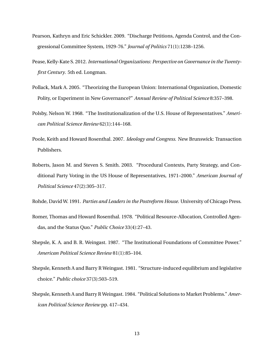- Pearson, Kathryn and Eric Schickler. 2009. "Discharge Petitions, Agenda Control, and the Congressional Committee System, 1929-76." *Journal of Politics* 71(1):1238–1256.
- <span id="page-12-0"></span>Pease, Kelly-Kate S. 2012. *International Organizations: Perspective on Governance in the Twentyfirst Century*. 5th ed. Longman.
- Pollack, Mark A. 2005. "Theorizing the European Union: International Organization, Domestic Polity, or Experiment in New Governance?" *Annual Review of Political Science* 8:357–398.
- Polsby, Nelson W. 1968. "The Institutionalization of the U.S. House of Representatives." *American Political Science Review* 62(1):144–168.
- Poole, Keith and Howard Rosenthal. 2007. *Ideology and Congress*. New Brunswick: Transaction Publishers.
- Roberts, Jason M. and Steven S. Smith. 2003. "Procedural Contexts, Party Strategy, and Conditional Party Voting in the US House of Representatives, 1971–2000." *American Journal of Political Science* 47(2):305–317.

Rohde, David W. 1991. *Parties and Leaders in the Postreform House*. University of Chicago Press.

- Romer, Thomas and Howard Rosenthal. 1978. "Political Resource-Allocation, Controlled Agendas, and the Status Quo." *Public Choice* 33(4):27–43.
- Shepsle, K. A. and B. R. Weingast. 1987. "The Institutional Foundations of Committee Power." *American Political Science Review* 81(1):85–104.
- Shepsle, Kenneth A and Barry R Weingast. 1981. "Structure-induced equilibrium and legislative choice." *Public choice* 37(3):503–519.
- Shepsle, Kenneth A and Barry R Weingast. 1984. "Political Solutions to Market Problems." *American Political Science Review* pp. 417–434.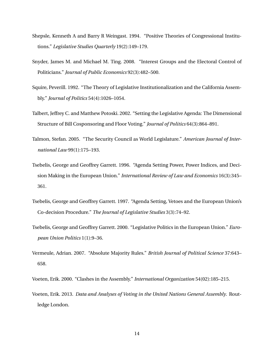- Shepsle, Kenneth A and Barry R Weingast. 1994. "Positive Theories of Congressional Institutions." *Legislative Studies Quarterly* 19(2):149–179.
- Snyder, James M. and Michael M. Ting. 2008. "Interest Groups and the Electoral Control of Politicians." *Journal of Public Economics* 92(3):482–500.
- Squire, Peverill. 1992. "The Theory of Legislative Institutionalization and the California Assembly." *Journal of Politics* 54(4):1026–1054.
- Talbert, Jeffrey C. and Matthew Potoski. 2002. "Setting the Legislative Agenda: The Dimensional Structure of Bill Cosponsoring and Floor Voting." *Journal of Politics* 64(3):864–891.
- <span id="page-13-0"></span>Talmon, Stefan. 2005. "The Security Council as World Legislature." *American Journal of International Law* 99(1):175–193.
- Tsebelis, George and Geoffrey Garrett. 1996. "Agenda Setting Power, Power Indices, and Decision Making in the European Union." *International Review of Law and Economics* 16(3):345– 361.
- Tsebelis, George and Geoffrey Garrett. 1997. "Agenda Setting, Vetoes and the European Union's Co-decision Procedure." *The Journal of Legislative Studies* 3(3):74–92.
- Tsebelis, George and Geoffrey Garrett. 2000. "Legislative Politics in the European Union." *European Union Politics* 1(1):9–36.
- Vermeule, Adrian. 2007. "Absolute Majority Rules." *British Journal of Political Science* 37:643– 658.
- Voeten, Erik. 2000. "Clashes in the Assembly." *International Organization* 54(02):185–215.
- Voeten, Erik. 2013. *Data and Analyses of Voting in the United Nations General Assembly*. Routledge London.